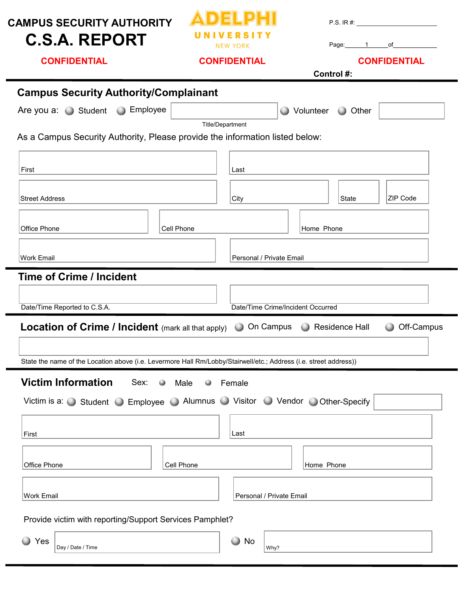| <b>CAMPUS SECURITY AUTHORITY</b><br><b>C.S.A. REPORT</b>                                                          | <b>NEW YORK</b><br><b>CONFIDENTIAL</b> |                                                  |  | P.S. IR #:<br>Page: 1 of<br><b>CONFIDENTIAL</b><br>Control #: |                          |            |  |  |  |  |
|-------------------------------------------------------------------------------------------------------------------|----------------------------------------|--------------------------------------------------|--|---------------------------------------------------------------|--------------------------|------------|--|--|--|--|
| <b>CONFIDENTIAL</b>                                                                                               |                                        |                                                  |  |                                                               |                          |            |  |  |  |  |
| <b>Campus Security Authority/Complainant</b>                                                                      |                                        |                                                  |  |                                                               |                          |            |  |  |  |  |
| <b>Employee</b><br>Are you a: $\bigcirc$ Student                                                                  |                                        |                                                  |  |                                                               | ◯ Volunteer ◯ Other      |            |  |  |  |  |
| As a Campus Security Authority, Please provide the information listed below:                                      |                                        | <b>Title/Department</b>                          |  |                                                               |                          |            |  |  |  |  |
| First                                                                                                             |                                        | Last                                             |  |                                                               |                          |            |  |  |  |  |
| <b>Street Address</b>                                                                                             |                                        | City                                             |  |                                                               | State                    | ZIP Code   |  |  |  |  |
| Office Phone                                                                                                      | Cell Phone                             |                                                  |  |                                                               | Home Phone               |            |  |  |  |  |
| Work Email                                                                                                        |                                        |                                                  |  |                                                               | Personal / Private Email |            |  |  |  |  |
| <b>Time of Crime / Incident</b>                                                                                   |                                        |                                                  |  |                                                               |                          |            |  |  |  |  |
|                                                                                                                   |                                        |                                                  |  |                                                               |                          |            |  |  |  |  |
| Date/Time Reported to C.S.A.<br><b>Location of Crime / Incident (mark all that apply)</b>                         |                                        | Date/Time Crime/Incident Occurred<br>O On Campus |  |                                                               | Residence Hall           | Off-Campus |  |  |  |  |
|                                                                                                                   |                                        |                                                  |  |                                                               |                          |            |  |  |  |  |
| State the name of the Location above (i.e. Levermore Hall Rm/Lobby/Stairwell/etc.; Address (i.e. street address)) |                                        |                                                  |  |                                                               |                          |            |  |  |  |  |
| <b>Victim Information</b><br>Sex: O                                                                               | Male<br>$\bullet$                      | Female                                           |  |                                                               |                          |            |  |  |  |  |
| Victim is a: Student Semployee Alumnus Visitor O Vendor O Other-Specify                                           |                                        |                                                  |  |                                                               |                          |            |  |  |  |  |
|                                                                                                                   |                                        |                                                  |  |                                                               |                          |            |  |  |  |  |
| First                                                                                                             |                                        | Last                                             |  |                                                               |                          |            |  |  |  |  |
| Office Phone                                                                                                      | Cell Phone                             |                                                  |  | Home Phone                                                    |                          |            |  |  |  |  |
| Work Email                                                                                                        |                                        | Personal / Private Email                         |  |                                                               |                          |            |  |  |  |  |
| Provide victim with reporting/Support Services Pamphlet?                                                          |                                        |                                                  |  |                                                               |                          |            |  |  |  |  |
| ● Yes<br>Day / Date / Time                                                                                        |                                        | $\bigcirc$<br>No<br>Why?                         |  |                                                               |                          |            |  |  |  |  |